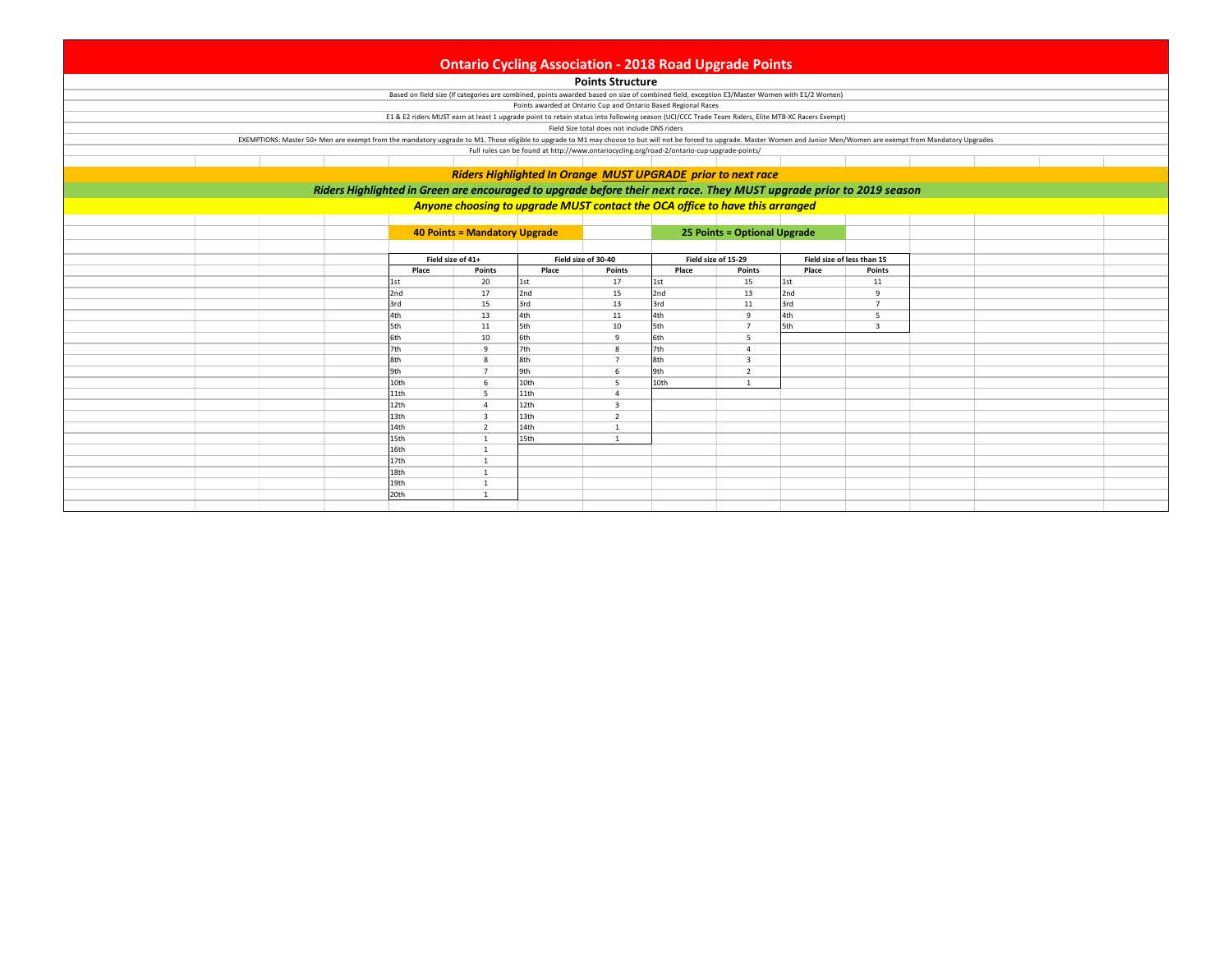| <b>Ontario Cycling Association - 2018 Road Upgrade Points</b>                                                        |  |                                                                                                                                                                                                                               |                               |            |                                              |                                                                                                                                                                                                               |                              |       |                            |  |  |  |  |
|----------------------------------------------------------------------------------------------------------------------|--|-------------------------------------------------------------------------------------------------------------------------------------------------------------------------------------------------------------------------------|-------------------------------|------------|----------------------------------------------|---------------------------------------------------------------------------------------------------------------------------------------------------------------------------------------------------------------|------------------------------|-------|----------------------------|--|--|--|--|
|                                                                                                                      |  |                                                                                                                                                                                                                               |                               |            |                                              |                                                                                                                                                                                                               |                              |       |                            |  |  |  |  |
|                                                                                                                      |  |                                                                                                                                                                                                                               |                               |            | <b>Points Structure</b>                      |                                                                                                                                                                                                               |                              |       |                            |  |  |  |  |
|                                                                                                                      |  |                                                                                                                                                                                                                               |                               |            |                                              | Based on field size (If categories are combined, points awarded based on size of combined field, exception E3/Master Women with E1/2 Women)<br>Points awarded at Ontario Cup and Ontario Based Regional Races |                              |       |                            |  |  |  |  |
|                                                                                                                      |  |                                                                                                                                                                                                                               |                               |            |                                              | E1 & E2 riders MUST earn at least 1 upgrade point to retain status into following season (UCI/CCC Trade Team Riders, Elite MTB-XC Racers Exempt)                                                              |                              |       |                            |  |  |  |  |
|                                                                                                                      |  |                                                                                                                                                                                                                               |                               |            | Field Size total does not include DNS riders |                                                                                                                                                                                                               |                              |       |                            |  |  |  |  |
|                                                                                                                      |  | EXEMPTIONS: Master 50+ Men are exempt from the mandatory upgrade to M1. Those eligible to upgrade to M1 may choose to but will not be forced to upgrade. Master Women and Junior Men/Women are exempt from Mandatory Upgrades |                               |            |                                              |                                                                                                                                                                                                               |                              |       |                            |  |  |  |  |
|                                                                                                                      |  |                                                                                                                                                                                                                               |                               |            |                                              | Full rules can be found at http://www.ontariocycling.org/road-2/ontario-cup-upgrade-points/                                                                                                                   |                              |       |                            |  |  |  |  |
|                                                                                                                      |  |                                                                                                                                                                                                                               |                               |            |                                              |                                                                                                                                                                                                               |                              |       |                            |  |  |  |  |
| Riders Highlighted In Orange MUST UPGRADE prior to next race                                                         |  |                                                                                                                                                                                                                               |                               |            |                                              |                                                                                                                                                                                                               |                              |       |                            |  |  |  |  |
| Riders Highlighted in Green are encouraged to upgrade before their next race. They MUST upgrade prior to 2019 season |  |                                                                                                                                                                                                                               |                               |            |                                              |                                                                                                                                                                                                               |                              |       |                            |  |  |  |  |
|                                                                                                                      |  |                                                                                                                                                                                                                               |                               |            |                                              |                                                                                                                                                                                                               |                              |       |                            |  |  |  |  |
| Anyone choosing to upgrade MUST contact the OCA office to have this arranged                                         |  |                                                                                                                                                                                                                               |                               |            |                                              |                                                                                                                                                                                                               |                              |       |                            |  |  |  |  |
|                                                                                                                      |  |                                                                                                                                                                                                                               |                               |            |                                              |                                                                                                                                                                                                               |                              |       |                            |  |  |  |  |
|                                                                                                                      |  |                                                                                                                                                                                                                               | 40 Points = Mandatory Upgrade |            |                                              |                                                                                                                                                                                                               | 25 Points = Optional Upgrade |       |                            |  |  |  |  |
|                                                                                                                      |  |                                                                                                                                                                                                                               |                               |            |                                              |                                                                                                                                                                                                               |                              |       |                            |  |  |  |  |
|                                                                                                                      |  |                                                                                                                                                                                                                               | Field size of 41+             |            | Field size of 30-40                          |                                                                                                                                                                                                               | Field size of 15-29          |       | Field size of less than 15 |  |  |  |  |
|                                                                                                                      |  | Place                                                                                                                                                                                                                         | Points                        | Place      | Points                                       | Place                                                                                                                                                                                                         | Points                       | Place | Points                     |  |  |  |  |
|                                                                                                                      |  | 1st                                                                                                                                                                                                                           | 20                            | 1st        | 17                                           | 1st                                                                                                                                                                                                           | 15                           | 1st   | 11                         |  |  |  |  |
|                                                                                                                      |  | 2nd                                                                                                                                                                                                                           | 17                            | 2nd        | 15                                           | 2nd                                                                                                                                                                                                           | 13                           | 2nd   | 9                          |  |  |  |  |
|                                                                                                                      |  | 3rd                                                                                                                                                                                                                           | 15                            | 3rd        | 13                                           | 3rd                                                                                                                                                                                                           | 11                           | 3rd   | $\overline{7}$             |  |  |  |  |
|                                                                                                                      |  | 4th                                                                                                                                                                                                                           | 13                            | 4th        | 11                                           | 4th                                                                                                                                                                                                           | -9                           | 4th   | 5                          |  |  |  |  |
|                                                                                                                      |  | 5th<br>6th                                                                                                                                                                                                                    | 11<br>10                      | 5th<br>6th | 10<br>9                                      | 5th<br>6th                                                                                                                                                                                                    | $\overline{7}$<br>5          | 5th   | $\mathbf{3}$               |  |  |  |  |
|                                                                                                                      |  | 7th                                                                                                                                                                                                                           | -9                            | 7th        | $\mathbf{8}$                                 | 7th                                                                                                                                                                                                           | $\Delta$                     |       |                            |  |  |  |  |
|                                                                                                                      |  | 8th                                                                                                                                                                                                                           | $\mathbf{g}$                  | 8th        | $\overline{7}$                               | 8th                                                                                                                                                                                                           | $\overline{\mathbf{3}}$      |       |                            |  |  |  |  |
|                                                                                                                      |  | 9th                                                                                                                                                                                                                           | $\overline{7}$                | 9th        | 6                                            | 9th                                                                                                                                                                                                           | 2                            |       |                            |  |  |  |  |
|                                                                                                                      |  | 10th                                                                                                                                                                                                                          | 6                             | 10th       | $\overline{\phantom{a}}$                     | 10th                                                                                                                                                                                                          | $\overline{1}$               |       |                            |  |  |  |  |
|                                                                                                                      |  | 11th                                                                                                                                                                                                                          | 5                             | 11th       | $\overline{4}$                               |                                                                                                                                                                                                               |                              |       |                            |  |  |  |  |
|                                                                                                                      |  | 12th                                                                                                                                                                                                                          | $\overline{4}$                | 12th       | $\overline{3}$                               |                                                                                                                                                                                                               |                              |       |                            |  |  |  |  |
|                                                                                                                      |  | 13th                                                                                                                                                                                                                          | $\overline{\mathbf{3}}$       | 13th       | $\overline{\phantom{a}}$                     |                                                                                                                                                                                                               |                              |       |                            |  |  |  |  |
|                                                                                                                      |  | 14th                                                                                                                                                                                                                          | 2                             | 14th       | 1                                            |                                                                                                                                                                                                               |                              |       |                            |  |  |  |  |
|                                                                                                                      |  | 15th                                                                                                                                                                                                                          | $\overline{1}$                | 15th       | $\overline{1}$                               |                                                                                                                                                                                                               |                              |       |                            |  |  |  |  |
|                                                                                                                      |  | 16th                                                                                                                                                                                                                          | $\overline{1}$                |            |                                              |                                                                                                                                                                                                               |                              |       |                            |  |  |  |  |
|                                                                                                                      |  | 17th                                                                                                                                                                                                                          | $\mathbf{1}$                  |            |                                              |                                                                                                                                                                                                               |                              |       |                            |  |  |  |  |
|                                                                                                                      |  | 18th                                                                                                                                                                                                                          | $\overline{1}$                |            |                                              |                                                                                                                                                                                                               |                              |       |                            |  |  |  |  |
|                                                                                                                      |  | 19th                                                                                                                                                                                                                          | 1                             |            |                                              |                                                                                                                                                                                                               |                              |       |                            |  |  |  |  |
|                                                                                                                      |  | 20th                                                                                                                                                                                                                          |                               |            |                                              |                                                                                                                                                                                                               |                              |       |                            |  |  |  |  |
|                                                                                                                      |  |                                                                                                                                                                                                                               |                               |            |                                              |                                                                                                                                                                                                               |                              |       |                            |  |  |  |  |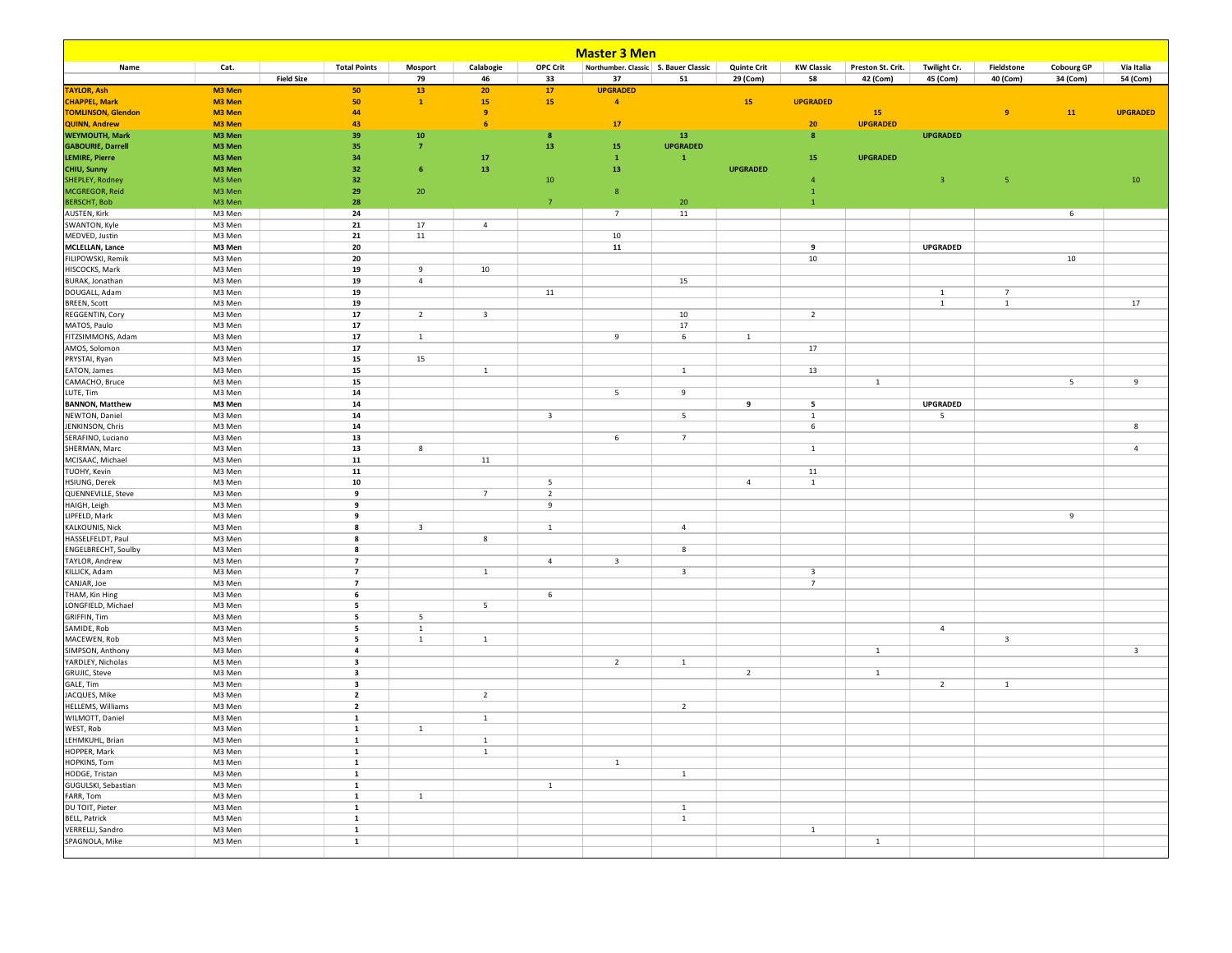| <b>Master 3 Men</b>                        |                  |                   |                                  |                         |                         |                         |                                         |                         |                    |                                           |                   |                         |                |                          |                         |
|--------------------------------------------|------------------|-------------------|----------------------------------|-------------------------|-------------------------|-------------------------|-----------------------------------------|-------------------------|--------------------|-------------------------------------------|-------------------|-------------------------|----------------|--------------------------|-------------------------|
| Name                                       | Cat.             |                   | <b>Total Points</b>              | Mosport                 | Calabogie               | <b>OPC Crit</b>         | Northumber. Classic S. Bauer Classic    |                         | <b>Quinte Crit</b> | <b>KW Classic</b>                         | Preston St. Crit. | Twilight Cr.            | Fieldstone     | <b>Cobourg GP</b>        | Via Italia              |
|                                            |                  | <b>Field Size</b> |                                  | 79                      | 46                      | 33                      | 37                                      | 51                      | 29 (Com)           | 58                                        | 42 (Com)          | 45 (Com)                | 40 (Com)       | 34 (Com)                 | 54 (Com)                |
| <b>TAYLOR, Ash</b><br><b>CHAPPEL, Mark</b> | M3 Men<br>M3 Men |                   | 50<br>50                         | 13<br>$\mathbf 1$       | 20<br>15                | 17<br>15                | <b>UPGRADED</b><br>$\blacktriangleleft$ |                         | 15                 | <b>UPGRADED</b>                           |                   |                         |                |                          |                         |
| <b>TOMLINSON, Glendon</b>                  | M3 Men           |                   | 44                               |                         | $\overline{9}$          |                         |                                         |                         |                    |                                           | 15                |                         | $\overline{9}$ | 11                       | <b>UPGRADED</b>         |
| <b>QUINN, Andrew</b>                       | M3 Men           |                   | 43                               |                         | 6                       |                         | 17                                      |                         |                    | ${\bf 20}$                                | <b>UPGRADED</b>   |                         |                |                          |                         |
| <b>WEYMOUTH, Mark</b>                      | M3 Men           |                   | 39                               | 10                      |                         | 8                       |                                         | 13                      |                    | $\boldsymbol{8}$                          |                   | <b>UPGRADED</b>         |                |                          |                         |
| <b>GABOURIE, Darrell</b>                   | M3 Men           |                   | 35                               | $\overline{7}$          |                         | 13                      | 15                                      | <b>UPGRADED</b>         |                    |                                           |                   |                         |                |                          |                         |
| <b>LEMIRE, Pierre</b>                      | M3 Men           |                   | 34                               |                         | 17                      |                         | $\mathbf 1$                             | ${\bf 1}$               |                    | 15                                        | <b>UPGRADED</b>   |                         |                |                          |                         |
| CHIU, Sunny                                | M3 Men           |                   | 32                               | $6\phantom{1}6$         | 13                      |                         | 13                                      |                         | <b>UPGRADED</b>    |                                           |                   |                         |                |                          |                         |
| SHEPLEY, Rodney<br>MCGREGOR, Reid          | M3 Men<br>M3 Men |                   | 32<br>29                         | 20                      |                         | 10                      | 8                                       |                         |                    | $\overline{4}$<br>$\mathbf{1}$            |                   | $\overline{\mathbf{3}}$ | $\sqrt{5}$     |                          | 10                      |
| <b>BERSCHT, Bob</b>                        | M3 Men           |                   | 28                               |                         |                         | $\overline{7}$          |                                         | 20                      |                    | $\mathbf{1}$                              |                   |                         |                |                          |                         |
| <b>AUSTEN, Kirk</b>                        | M3 Men           |                   | 24                               |                         |                         |                         | $\overline{7}$                          | 11                      |                    |                                           |                   |                         |                | 6                        |                         |
| SWANTON, Kyle                              | M3 Men           |                   | 21                               | 17                      | $\overline{4}$          |                         |                                         |                         |                    |                                           |                   |                         |                |                          |                         |
| MEDVED, Justin                             | M3 Men           |                   | 21                               | 11                      |                         |                         | $10\,$                                  |                         |                    |                                           |                   |                         |                |                          |                         |
| <b>MCLELLAN, Lance</b>                     | M3 Men           |                   | 20                               |                         |                         |                         | 11                                      |                         |                    | 9                                         |                   | <b>UPGRADED</b>         |                |                          |                         |
| FILIPOWSKI, Remik                          | M3 Men           |                   | 20                               |                         |                         |                         |                                         |                         |                    | 10                                        |                   |                         |                | 10                       |                         |
| HISCOCKS, Mark                             | M3 Men           |                   | 19                               | 9                       | 10                      |                         |                                         |                         |                    |                                           |                   |                         |                |                          |                         |
| <b>BURAK, Jonathan</b><br>DOUGALL, Adam    | M3 Men<br>M3 Men |                   | 19<br>19                         | $\sqrt{4}$              |                         | 11                      |                                         | 15                      |                    |                                           |                   | <sup>1</sup>            | $\overline{7}$ |                          |                         |
| <b>BREEN, Scott</b>                        | M3 Men           |                   | 19                               |                         |                         |                         |                                         |                         |                    |                                           |                   | $\mathbf{1}$            | $\overline{1}$ |                          | 17                      |
| REGGENTIN, Cory                            | M3 Men           |                   | 17                               | $\overline{2}$          | $\overline{\mathbf{3}}$ |                         |                                         | 10                      |                    | $\overline{2}$                            |                   |                         |                |                          |                         |
| MATOS, Paulo                               | M3 Men           |                   | 17                               |                         |                         |                         |                                         | 17                      |                    |                                           |                   |                         |                |                          |                         |
| FITZSIMMONS, Adam                          | M3 Men           |                   | 17                               | $\mathbf{1}$            |                         |                         | 9                                       | 6                       | $\mathbf{1}$       |                                           |                   |                         |                |                          |                         |
| AMOS, Solomon                              | M3 Men           |                   | 17                               |                         |                         |                         |                                         |                         |                    | 17                                        |                   |                         |                |                          |                         |
| PRYSTAI, Ryan                              | M3 Men           |                   | 15                               | 15                      |                         |                         |                                         |                         |                    |                                           |                   |                         |                |                          |                         |
| EATON, James                               | M3 Men           |                   | 15<br>15                         |                         | $\mathbf{1}$            |                         |                                         | $\mathbf{1}$            |                    | 13                                        |                   |                         |                |                          |                         |
| CAMACHO, Bruce<br>LUTE, Tim                | M3 Men<br>M3 Men |                   | 14                               |                         |                         |                         | 5                                       | 9                       |                    |                                           | $\,$ 1 $\,$       |                         |                | $\overline{\phantom{a}}$ | 9                       |
| <b>BANNON, Matthew</b>                     | M3 Men           |                   | 14                               |                         |                         |                         |                                         |                         | 9                  | $\overline{\phantom{a}}$                  |                   | <b>UPGRADED</b>         |                |                          |                         |
| NEWTON, Daniel                             | M3 Men           |                   | 14                               |                         |                         | $\overline{\mathbf{3}}$ |                                         | 5                       |                    | $\mathbf{1}$                              |                   | 5                       |                |                          |                         |
| JENKINSON, Chris                           | M3 Men           |                   | 14                               |                         |                         |                         |                                         |                         |                    | 6                                         |                   |                         |                |                          | 8                       |
| SERAFINO, Luciano                          | M3 Men           |                   | 13                               |                         |                         |                         | 6                                       | $7\overline{ }$         |                    |                                           |                   |                         |                |                          |                         |
| SHERMAN, Marc                              | M3 Men           |                   | 13                               | 8                       |                         |                         |                                         |                         |                    | $\mathbf{1}$                              |                   |                         |                |                          | $\overline{4}$          |
| MCISAAC, Michael                           | M3 Men           |                   | 11                               |                         | 11                      |                         |                                         |                         |                    |                                           |                   |                         |                |                          |                         |
| TUOHY, Kevin                               | M3 Men           |                   | 11                               |                         |                         |                         |                                         |                         |                    | 11                                        |                   |                         |                |                          |                         |
| HSIUNG, Derek<br>QUENNEVILLE, Steve        | M3 Men<br>M3 Men |                   | 10<br>9                          |                         | $7\overline{ }$         | 5<br>$\overline{2}$     |                                         |                         | $\overline{a}$     | $\mathbf{1}$                              |                   |                         |                |                          |                         |
| HAIGH, Leigh                               | M3 Men           |                   | 9                                |                         |                         | 9                       |                                         |                         |                    |                                           |                   |                         |                |                          |                         |
| LIPFELD, Mark                              | M3 Men           |                   | 9                                |                         |                         |                         |                                         |                         |                    |                                           |                   |                         |                | 9                        |                         |
| KALKOUNIS, Nick                            | M3 Men           |                   | 8                                | $\overline{\mathbf{3}}$ |                         | $\mathbf{1}$            |                                         | $\overline{4}$          |                    |                                           |                   |                         |                |                          |                         |
| HASSELFELDT, Paul                          | M3 Men           |                   | 8                                |                         | 8                       |                         |                                         |                         |                    |                                           |                   |                         |                |                          |                         |
| <b>ENGELBRECHT, Soulby</b>                 | M3 Men           |                   | 8                                |                         |                         |                         |                                         | 8                       |                    |                                           |                   |                         |                |                          |                         |
| TAYLOR, Andrew                             | M3 Men           |                   | $\overline{7}$                   |                         |                         | $\overline{4}$          | $\overline{\mathbf{3}}$                 |                         |                    |                                           |                   |                         |                |                          |                         |
| KILLICK, Adam<br>CANJAR, Joe               | M3 Men<br>M3 Men |                   | $\overline{7}$<br>$\overline{7}$ |                         | $\mathbf{1}$            |                         |                                         | $\overline{\mathbf{3}}$ |                    | $\overline{\mathbf{3}}$<br>$\overline{7}$ |                   |                         |                |                          |                         |
| THAM, Kin Hing                             | M3 Men           |                   | 6                                |                         |                         | 6                       |                                         |                         |                    |                                           |                   |                         |                |                          |                         |
| LONGFIELD, Michael                         | M3 Men           |                   | 5                                |                         | 5                       |                         |                                         |                         |                    |                                           |                   |                         |                |                          |                         |
| GRIFFIN, Tim                               | M3 Men           |                   | 5                                | 5                       |                         |                         |                                         |                         |                    |                                           |                   |                         |                |                          |                         |
| SAMIDE, Rob                                | M3 Men           |                   | 5                                | $\mathbf{1}$            |                         |                         |                                         |                         |                    |                                           |                   | $\overline{4}$          |                |                          |                         |
| MACEWEN, Rob                               | M3 Men           |                   | 5                                | $\mathbf{1}$            | $\mathbf{1}$            |                         |                                         |                         |                    |                                           |                   |                         | 3              |                          |                         |
| SIMPSON, Anthony                           | M3 Men           |                   | $\overline{a}$                   |                         |                         |                         |                                         |                         |                    |                                           | $\mathbf{1}$      |                         |                |                          | $\overline{\mathbf{3}}$ |
| YARDLEY, Nicholas<br><b>GRUJIC, Steve</b>  | M3 Men<br>M3 Men |                   | $\overline{\mathbf{3}}$<br>3     |                         |                         |                         | $\overline{2}$                          | $\mathbf{1}$            | $\overline{2}$     |                                           | $\mathbf{1}$      |                         |                |                          |                         |
| GALE, Tim                                  | M3 Men           |                   | $\overline{\mathbf{3}}$          |                         |                         |                         |                                         |                         |                    |                                           |                   | $\overline{2}$          | $\mathbf{1}$   |                          |                         |
| JACQUES, Mike                              | M3 Men           |                   | $\overline{2}$                   |                         | $\overline{2}$          |                         |                                         |                         |                    |                                           |                   |                         |                |                          |                         |
| <b>HELLEMS, Williams</b>                   | M3 Men           |                   | $\overline{2}$                   |                         |                         |                         |                                         | $\overline{2}$          |                    |                                           |                   |                         |                |                          |                         |
| WILMOTT, Daniel                            | M3 Men           |                   | 1                                |                         | $\mathbf{1}$            |                         |                                         |                         |                    |                                           |                   |                         |                |                          |                         |
| WEST, Rob                                  | M3 Men           |                   | 1                                | $\mathbf{1}$            |                         |                         |                                         |                         |                    |                                           |                   |                         |                |                          |                         |
| LEHMKUHL, Brian                            | M3 Men           |                   | 1                                |                         | $\mathbf{1}$            |                         |                                         |                         |                    |                                           |                   |                         |                |                          |                         |
| HOPPER, Mark<br>HOPKINS, Tom               | M3 Men<br>M3 Men |                   | 1<br>1                           |                         | $\mathbf{1}$            |                         | 1                                       |                         |                    |                                           |                   |                         |                |                          |                         |
| HODGE, Tristan                             | M3 Men           |                   | $\mathbf{1}$                     |                         |                         |                         |                                         | $\,$ 1 $\,$             |                    |                                           |                   |                         |                |                          |                         |
| GUGULSKI, Sebastian                        | M3 Men           |                   | $\mathbf{1}$                     |                         |                         | $\mathbf{1}$            |                                         |                         |                    |                                           |                   |                         |                |                          |                         |
| FARR, Tom                                  | M3 Men           |                   | 1                                | $\mathbf{1}$            |                         |                         |                                         |                         |                    |                                           |                   |                         |                |                          |                         |
| DU TOIT, Pieter                            | M3 Men           |                   | 1                                |                         |                         |                         |                                         | $\mathbf{1}$            |                    |                                           |                   |                         |                |                          |                         |
| <b>BELL, Patrick</b>                       | M3 Men           |                   | 1                                |                         |                         |                         |                                         | 1                       |                    |                                           |                   |                         |                |                          |                         |
| <b>VERRELLI</b> , Sandro                   | M3 Men           |                   | $\mathbf{1}$                     |                         |                         |                         |                                         |                         |                    | $\mathbf{1}$                              |                   |                         |                |                          |                         |
| SPAGNOLA, Mike                             | M3 Men           |                   | $\mathbf{1}$                     |                         |                         |                         |                                         |                         |                    |                                           | $\mathbf{1}$      |                         |                |                          |                         |
|                                            |                  |                   |                                  |                         |                         |                         |                                         |                         |                    |                                           |                   |                         |                |                          |                         |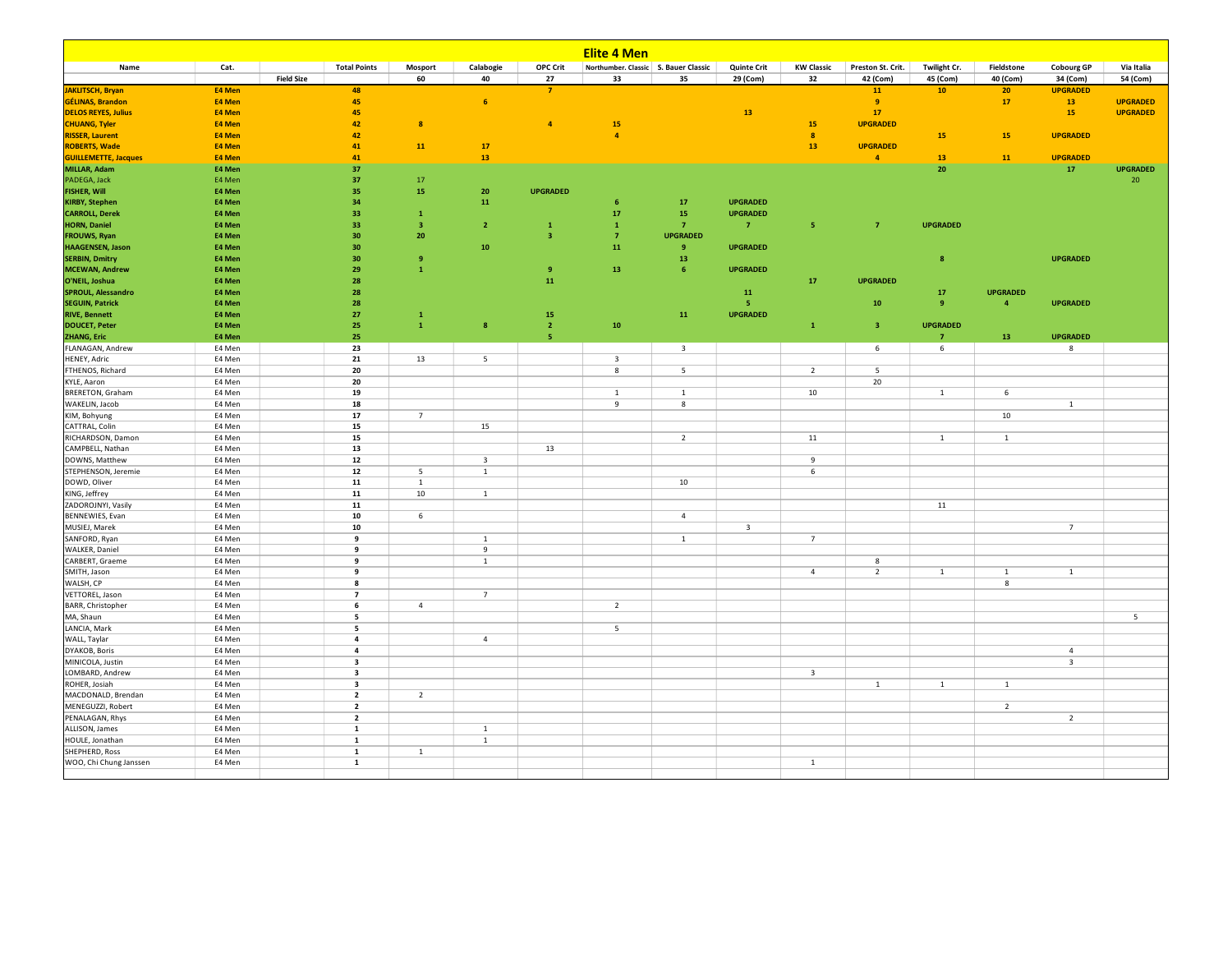|                                                |                  |                   |                                                    |                         |                         |                 | <b>Elite 4 Men</b>                     |                         |                         |                         |                   |                              |                         |                                           |                 |
|------------------------------------------------|------------------|-------------------|----------------------------------------------------|-------------------------|-------------------------|-----------------|----------------------------------------|-------------------------|-------------------------|-------------------------|-------------------|------------------------------|-------------------------|-------------------------------------------|-----------------|
| Name                                           | Cat.             |                   | <b>Total Points</b>                                | Mosport                 | Calabogie               | <b>OPC Crit</b> | Northumber. Classic   S. Bauer Classic |                         | <b>Quinte Crit</b>      | <b>KW Classic</b>       | Preston St. Crit. | Twilight Cr.                 | Fieldstone              | <b>Cobourg GP</b>                         | Via Italia      |
|                                                |                  | <b>Field Size</b> |                                                    | 60                      | 40                      | 27              | 33                                     | 35                      | 29 (Com)                | 32                      | 42 (Com)          | 45 (Com)                     | 40 (Com)                | 34 (Com)                                  | 54 (Com)        |
| <b>JAKLITSCH, Bryan</b>                        | E4 Men           |                   | 48                                                 |                         |                         | $\overline{7}$  |                                        |                         |                         |                         | 11                | 10 <sub>1</sub>              | 20                      | <b>UPGRADED</b>                           |                 |
| GÉLINAS, Brandon                               | E4 Men           |                   | 45                                                 |                         | 6 <sup>°</sup>          |                 |                                        |                         |                         |                         | $\overline{9}$    |                              | 17                      | 13 <sup>°</sup>                           | <b>UPGRADED</b> |
| <b>DELOS REYES, Julius</b>                     | E4 Men           |                   | 45                                                 |                         |                         |                 |                                        |                         | 13                      |                         | 17                |                              |                         | 15 <sub>1</sub>                           | <b>UPGRADED</b> |
| <b>CHUANG, Tyler</b>                           | E4 Men           |                   | 42                                                 | $\overline{\mathbf{8}}$ |                         | $\overline{4}$  | 15                                     |                         |                         | ${\bf 15}$              | <b>UPGRADED</b>   |                              |                         |                                           |                 |
| <b>RISSER, Laurent</b>                         | E4 Men           |                   | 42                                                 |                         |                         |                 | $\overline{4}$                         |                         |                         | $\boldsymbol{8}$        |                   | 15                           | 15                      | <b>UPGRADED</b>                           |                 |
| <b>ROBERTS, Wade</b>                           | E4 Men           |                   | 41                                                 | 11                      | 17                      |                 |                                        |                         |                         | 13                      | <b>UPGRADED</b>   |                              |                         |                                           |                 |
| <b>GUILLEMETTE, Jacques</b>                    | E4 Men           |                   | 41                                                 |                         | 13                      |                 |                                        |                         |                         |                         | $\overline{4}$    | 13                           | 11                      | <b>UPGRADED</b>                           |                 |
| MILLAR, Adam                                   | E4 Men           |                   | 37                                                 |                         |                         |                 |                                        |                         |                         |                         |                   | 20                           |                         | 17 <sup>2</sup>                           | <b>UPGRADED</b> |
| PADEGA, Jack                                   | E4 Men           |                   | 37                                                 | 17                      |                         |                 |                                        |                         |                         |                         |                   |                              |                         |                                           | 20              |
| <b>FISHER, Will</b>                            | E4 Men           |                   | 35                                                 | 15                      | 20                      | <b>UPGRADED</b> |                                        |                         |                         |                         |                   |                              |                         |                                           |                 |
| <b>KIRBY, Stephen</b>                          | E4 Men           |                   | 34                                                 |                         | 11                      |                 | 6                                      | 17                      | <b>UPGRADED</b>         |                         |                   |                              |                         |                                           |                 |
| <b>CARROLL, Derek</b>                          | E4 Men           |                   | 33                                                 | $\mathbf{1}$            |                         |                 | 17                                     | 15                      | <b>UPGRADED</b>         |                         |                   |                              |                         |                                           |                 |
| <b>HORN, Daniel</b>                            | E4 Men           |                   | 33                                                 | -3                      | $\overline{2}$          | $\mathbf{1}$    | $\mathbf{1}$                           | $\overline{7}$          | $\overline{7}$          | -5                      | $\overline{7}$    | <b>UPGRADED</b>              |                         |                                           |                 |
| <b>FROUWS, Ryan</b>                            | E4 Men           |                   | 30                                                 | 20                      |                         | -3              | $\overline{7}$                         | <b>UPGRADED</b>         |                         |                         |                   |                              |                         |                                           |                 |
| <b>HAAGENSEN, Jason</b>                        | E4 Men           |                   | 30                                                 |                         | 10                      |                 | ${\bf 11}$                             | $_{9}$                  | <b>UPGRADED</b>         |                         |                   |                              |                         |                                           |                 |
| <b>SERBIN, Dmitry</b>                          | E4 Men           |                   | 30                                                 | 9<br>$\mathbf{1}$       |                         |                 |                                        | 13<br>6                 |                         |                         |                   | $\overline{\mathbf{8}}$      |                         | <b>UPGRADED</b>                           |                 |
| <b>MCEWAN, Andrew</b>                          | E4 Men           |                   | 29                                                 |                         |                         | $\overline{9}$  | 13                                     |                         | <b>UPGRADED</b>         |                         |                   |                              |                         |                                           |                 |
| O'NEIL, Joshua                                 | E4 Men           |                   | 28                                                 |                         |                         | 11              |                                        |                         |                         | 17                      | <b>UPGRADED</b>   |                              |                         |                                           |                 |
| SPROUL, Alessandro                             | E4 Men<br>E4 Men |                   | 28<br>28                                           |                         |                         |                 |                                        |                         | 11<br>-5.               |                         |                   | ${\bf 17}$<br>$\overline{9}$ | <b>UPGRADED</b>         | <b>UPGRADED</b>                           |                 |
| <b>SEGUIN, Patrick</b><br><b>RIVE, Bennett</b> | E4 Men           |                   | 27                                                 | $\mathbf{1}$            |                         | 15              |                                        | 11                      | <b>UPGRADED</b>         |                         | 10                |                              | $\overline{\mathbf{4}}$ |                                           |                 |
| <b>DOUCET, Peter</b>                           | E4 Men           |                   | 25                                                 | $\mathbf{1}$            | $\boldsymbol{8}$        | $\overline{2}$  | 10                                     |                         |                         | $\mathbf{1}$            | $\overline{3}$    | <b>UPGRADED</b>              |                         |                                           |                 |
| <b>ZHANG, Eric</b>                             | E4 Men           |                   | 25                                                 |                         |                         | 5               |                                        |                         |                         |                         |                   | $\overline{7}$               | 13                      | <b>UPGRADED</b>                           |                 |
| FLANAGAN, Andrew                               | E4 Men           |                   | 23                                                 |                         |                         |                 |                                        | $\overline{\mathbf{3}}$ |                         |                         | 6                 | 6                            |                         | $8\phantom{1}$                            |                 |
| HENEY, Adric                                   | E4 Men           |                   | 21                                                 | 13                      | 5                       |                 | $\overline{\mathbf{3}}$                |                         |                         |                         |                   |                              |                         |                                           |                 |
| FTHENOS, Richard                               | E4 Men           |                   | 20                                                 |                         |                         |                 | $\boldsymbol{8}$                       | 5                       |                         | $\overline{2}$          | 5                 |                              |                         |                                           |                 |
| KYLE, Aaron                                    | E4 Men           |                   | 20                                                 |                         |                         |                 |                                        |                         |                         |                         | 20                |                              |                         |                                           |                 |
| <b>BRERETON, Graham</b>                        | E4 Men           |                   | 19                                                 |                         |                         |                 | $\mathbf{1}$                           | $\mathbf{1}$            |                         | $10\,$                  |                   | $\,$ 1 $\,$                  | 6                       |                                           |                 |
| WAKELIN, Jacob                                 | E4 Men           |                   | 18                                                 |                         |                         |                 | 9                                      | 8                       |                         |                         |                   |                              |                         | $\mathbf{1}$                              |                 |
| KIM, Bohyung                                   | E4 Men           |                   | 17                                                 | $\overline{7}$          |                         |                 |                                        |                         |                         |                         |                   |                              | 10                      |                                           |                 |
| CATTRAL, Colin                                 | E4 Men           |                   | 15                                                 |                         | 15                      |                 |                                        |                         |                         |                         |                   |                              |                         |                                           |                 |
| RICHARDSON, Damon                              | E4 Men           |                   | 15                                                 |                         |                         |                 |                                        | $\overline{2}$          |                         | $11\,$                  |                   | $\mathbf{1}$                 | $1\,$                   |                                           |                 |
| CAMPBELL, Nathan                               | E4 Men           |                   | 13                                                 |                         |                         | 13              |                                        |                         |                         |                         |                   |                              |                         |                                           |                 |
| DOWNS, Matthew                                 | E4 Men           |                   | ${\bf 12}$                                         |                         | $\overline{\mathbf{3}}$ |                 |                                        |                         |                         | 9                       |                   |                              |                         |                                           |                 |
| STEPHENSON, Jeremie                            | E4 Men           |                   | 12                                                 | 5                       | $\mathbf{1}$            |                 |                                        |                         |                         | 6                       |                   |                              |                         |                                           |                 |
| DOWD, Oliver                                   | E4 Men           |                   | 11                                                 | $\mathbf{1}$            |                         |                 |                                        | 10                      |                         |                         |                   |                              |                         |                                           |                 |
| KING, Jeffrey                                  | E4 Men           |                   | 11                                                 | 10                      | $\mathbf{1}$            |                 |                                        |                         |                         |                         |                   |                              |                         |                                           |                 |
| ZADOROJNYI, Vasily                             | E4 Men           |                   | 11                                                 |                         |                         |                 |                                        |                         |                         |                         |                   | 11                           |                         |                                           |                 |
| BENNEWIES, Evan                                | E4 Men           |                   | 10                                                 | 6                       |                         |                 |                                        | $\sqrt{4}$              |                         |                         |                   |                              |                         |                                           |                 |
| MUSIEJ, Marek                                  | E4 Men           |                   | 10                                                 |                         |                         |                 |                                        |                         | $\overline{\mathbf{3}}$ |                         |                   |                              |                         | $\overline{7}$                            |                 |
| SANFORD, Ryan                                  | E4 Men           |                   | 9                                                  |                         | $1\,$                   |                 |                                        | $\overline{1}$          |                         | $\overline{7}$          |                   |                              |                         |                                           |                 |
| WALKER, Daniel                                 | E4 Men           |                   | 9                                                  |                         | 9                       |                 |                                        |                         |                         |                         |                   |                              |                         |                                           |                 |
| CARBERT, Graeme                                | E4 Men           |                   | 9                                                  |                         | $\,$ 1 $\,$             |                 |                                        |                         |                         |                         | $8\phantom{1}$    |                              |                         |                                           |                 |
| SMITH, Jason                                   | E4 Men           |                   | 9                                                  |                         |                         |                 |                                        |                         |                         | $\overline{4}$          | $\overline{2}$    | $\mathbf{1}$                 | $\mathbf{1}$            | $\mathbf{1}$                              |                 |
| WALSH, CP                                      | E4 Men           |                   | 8                                                  |                         |                         |                 |                                        |                         |                         |                         |                   |                              | 8                       |                                           |                 |
| VETTOREL, Jason                                | E4 Men           |                   | $\overline{7}$                                     |                         | $7\overline{ }$         |                 |                                        |                         |                         |                         |                   |                              |                         |                                           |                 |
| BARR, Christopher                              | E4 Men           |                   | 6                                                  | $\overline{4}$          |                         |                 | $\overline{2}$                         |                         |                         |                         |                   |                              |                         |                                           |                 |
| MA, Shaun                                      | E4 Men           |                   | 5                                                  |                         |                         |                 |                                        |                         |                         |                         |                   |                              |                         |                                           | 5               |
| LANCIA, Mark                                   | E4 Men           |                   | 5                                                  |                         |                         |                 | 5                                      |                         |                         |                         |                   |                              |                         |                                           |                 |
| WALL, Taylar                                   | E4 Men           |                   | $\overline{\mathbf{4}}$                            |                         | $\overline{4}$          |                 |                                        |                         |                         |                         |                   |                              |                         |                                           |                 |
| DYAKOB, Boris                                  | E4 Men<br>E4 Men |                   | $\overline{\mathbf{4}}$<br>$\overline{\mathbf{3}}$ |                         |                         |                 |                                        |                         |                         |                         |                   |                              |                         | $\overline{4}$<br>$\overline{\mathbf{3}}$ |                 |
| MINICOLA, Justin<br>LOMBARD, Andrew            | E4 Men           |                   | $\overline{\mathbf{3}}$                            |                         |                         |                 |                                        |                         |                         | $\overline{\mathbf{3}}$ |                   |                              |                         |                                           |                 |
| ROHER, Josiah                                  | E4 Men           |                   | $\overline{\mathbf{3}}$                            |                         |                         |                 |                                        |                         |                         |                         | $1\,$             | $\,$ 1                       | $\overline{1}$          |                                           |                 |
| MACDONALD, Brendan                             | E4 Men           |                   | $\overline{\mathbf{2}}$                            | $\overline{2}$          |                         |                 |                                        |                         |                         |                         |                   |                              |                         |                                           |                 |
| MENEGUZZI, Robert                              | E4 Men           |                   | $\overline{2}$                                     |                         |                         |                 |                                        |                         |                         |                         |                   |                              | $\overline{2}$          |                                           |                 |
| PENALAGAN, Rhys                                | E4 Men           |                   | $\overline{2}$                                     |                         |                         |                 |                                        |                         |                         |                         |                   |                              |                         | $\overline{2}$                            |                 |
| ALLISON, James                                 | E4 Men           |                   | $\mathbf{1}$                                       |                         | $\mathbf{1}$            |                 |                                        |                         |                         |                         |                   |                              |                         |                                           |                 |
| HOULE, Jonathan                                | E4 Men           |                   | $\mathbf{1}$                                       |                         | $\mathbf{1}$            |                 |                                        |                         |                         |                         |                   |                              |                         |                                           |                 |
| SHEPHERD, Ross                                 | E4 Men           |                   | $\mathbf{1}$                                       | $\mathbf{1}$            |                         |                 |                                        |                         |                         |                         |                   |                              |                         |                                           |                 |
| WOO, Chi Chung Janssen                         | E4 Men           |                   | $\mathbf{1}$                                       |                         |                         |                 |                                        |                         |                         | $\mathbf{1}$            |                   |                              |                         |                                           |                 |
|                                                |                  |                   |                                                    |                         |                         |                 |                                        |                         |                         |                         |                   |                              |                         |                                           |                 |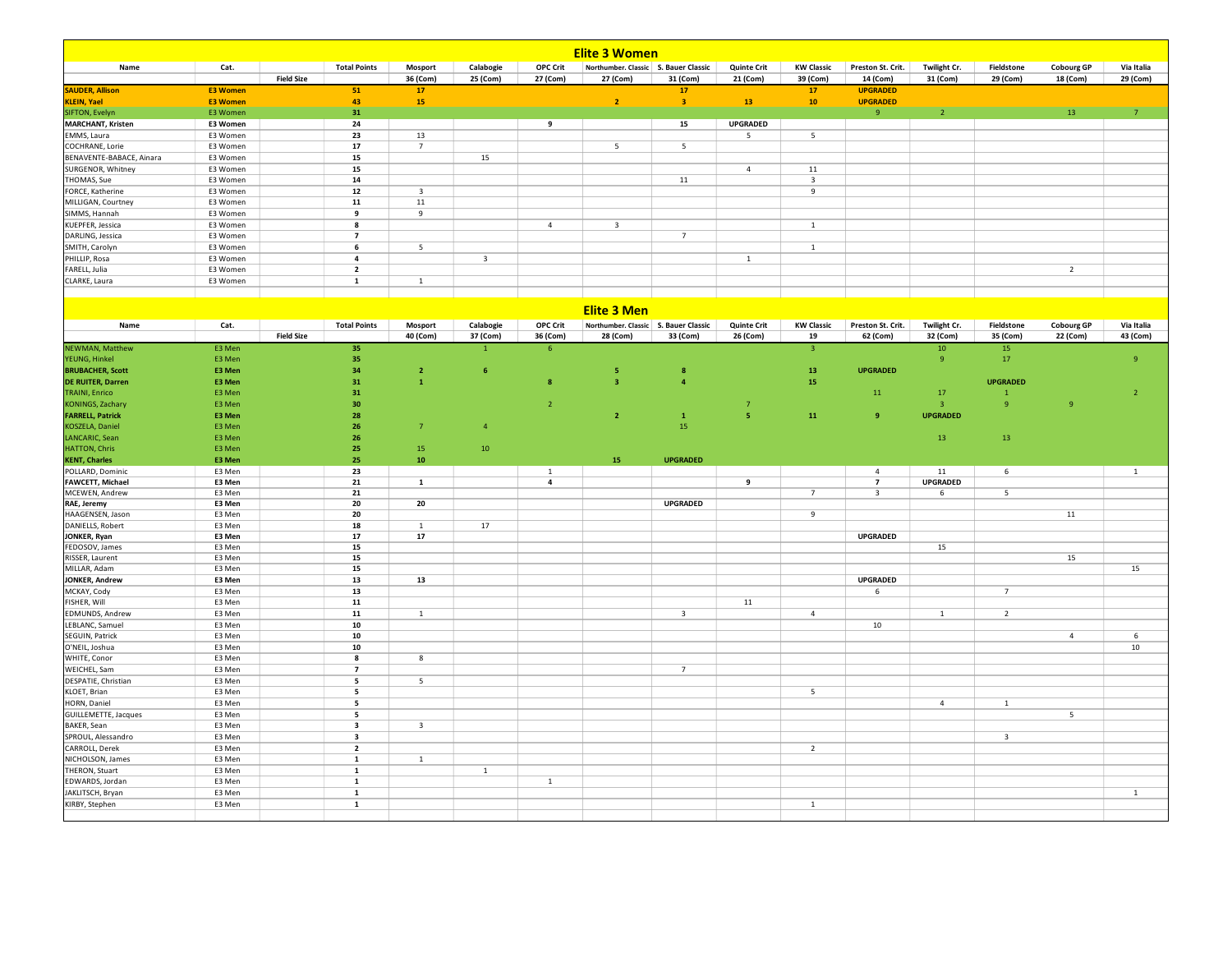| <b>Elite 3 Women</b>                   |                      |                   |                          |                         |                         |                         |                                        |                         |                    |                          |                         |                         |                         |                   |                |
|----------------------------------------|----------------------|-------------------|--------------------------|-------------------------|-------------------------|-------------------------|----------------------------------------|-------------------------|--------------------|--------------------------|-------------------------|-------------------------|-------------------------|-------------------|----------------|
| Name                                   | Cat.                 |                   | <b>Total Points</b>      | Mosport                 | Calabogie               | <b>OPC Crit</b>         | Northumber. Classic   S. Bauer Classic |                         | <b>Quinte Crit</b> | <b>KW Classic</b>        | Preston St. Crit.       | Twilight Cr.            | Fieldstone              | <b>Cobourg GP</b> | Via Italia     |
|                                        |                      | <b>Field Size</b> |                          | 36 (Com)                | 25 (Com)                | 27 (Com)                | 27 (Com)                               | 31 (Com)                | 21 (Com)           | 39 (Com)                 | 14 (Com)                | 31 (Com)                | 29 (Com)                | 18 (Com)          | 29 (Com)       |
| <b>SAUDER, Allison</b>                 | <b>E3 Women</b>      |                   | 51                       | 17                      |                         |                         |                                        | 17                      |                    | $17$                     | <b>UPGRADED</b>         |                         |                         |                   |                |
| <b>KLEIN, Yael</b>                     | <b>E3 Women</b>      |                   | 43                       | 15                      |                         |                         | $\overline{2}$                         | $\overline{\mathbf{3}}$ | 13 <sup>°</sup>    | $\bf{10}$                | <b>UPGRADED</b>         |                         |                         |                   |                |
| SIFTON, Evelyn                         | E3 Women             |                   | 31                       |                         |                         |                         |                                        |                         |                    |                          | $\overline{9}$          | $\overline{2}$          |                         | 13                | 7 <sup>7</sup> |
| <b>MARCHANT, Kristen</b>               | E3 Women             |                   | 24                       |                         |                         | 9                       |                                        | 15                      | <b>UPGRADED</b>    |                          |                         |                         |                         |                   |                |
| EMMS, Laura                            | E3 Women             |                   | 23                       | 13                      |                         |                         |                                        |                         | 5                  | 5                        |                         |                         |                         |                   |                |
| COCHRANE, Lorie                        | E3 Women             |                   | 17                       | $7\overline{ }$         |                         |                         | $5\overline{5}$                        | 5                       |                    |                          |                         |                         |                         |                   |                |
| BENAVENTE-BABACE, Ainara               | E3 Women             |                   | 15<br>15                 |                         | 15                      |                         |                                        |                         | $\overline{4}$     | 11                       |                         |                         |                         |                   |                |
| SURGENOR, Whitney                      | E3 Women             |                   |                          |                         |                         |                         |                                        |                         |                    |                          |                         |                         |                         |                   |                |
| THOMAS, Sue                            | E3 Women             |                   | $14$                     |                         |                         |                         |                                        | 11                      |                    | $\overline{\mathbf{3}}$  |                         |                         |                         |                   |                |
| FORCE, Katherine<br>MILLIGAN, Courtney | E3 Women<br>E3 Women |                   | 12<br>11                 | 3<br>11                 |                         |                         |                                        |                         |                    | 9                        |                         |                         |                         |                   |                |
| SIMMS, Hannah                          | E3 Women             |                   | 9                        | 9                       |                         |                         |                                        |                         |                    |                          |                         |                         |                         |                   |                |
| KUEPFER, Jessica                       | E3 Women             |                   | 8                        |                         |                         | $\overline{4}$          | $\overline{\mathbf{3}}$                |                         |                    | $\mathbf{1}$             |                         |                         |                         |                   |                |
| DARLING, Jessica                       | E3 Women             |                   | $\overline{7}$           |                         |                         |                         |                                        | $\overline{7}$          |                    |                          |                         |                         |                         |                   |                |
| SMITH, Carolyn                         | E3 Women             |                   | 6                        | 5                       |                         |                         |                                        |                         |                    | $\overline{1}$           |                         |                         |                         |                   |                |
| PHILLIP, Rosa                          | E3 Women             |                   | $\overline{\mathbf{4}}$  |                         | $\overline{\mathbf{3}}$ |                         |                                        |                         | $\mathbf 1$        |                          |                         |                         |                         |                   |                |
| FARELL, Julia                          | E3 Women             |                   | $\overline{\mathbf{2}}$  |                         |                         |                         |                                        |                         |                    |                          |                         |                         |                         | $\overline{2}$    |                |
| CLARKE, Laura                          | E3 Women             |                   | $\mathbf{1}$             | $\mathbf 1$             |                         |                         |                                        |                         |                    |                          |                         |                         |                         |                   |                |
|                                        |                      |                   |                          |                         |                         |                         |                                        |                         |                    |                          |                         |                         |                         |                   |                |
|                                        |                      |                   |                          |                         |                         |                         | <b>Elite 3 Men</b>                     |                         |                    |                          |                         |                         |                         |                   |                |
| Name                                   | Cat.                 |                   | <b>Total Points</b>      | Mosport                 | Calabogie               | <b>OPC Crit</b>         | Northumber. Classic S. Bauer Classic   |                         | <b>Quinte Crit</b> | <b>KW Classic</b>        | Preston St. Crit.       | Twilight Cr.            | Fieldstone              | <b>Cobourg GP</b> | Via Italia     |
|                                        |                      | <b>Field Size</b> |                          | 40 (Com)                | 37 (Com)                | 36 (Com)                | 28 (Com)                               | 33 (Com)                | 26 (Com)           | 19                       | 62 (Com)                | 32 (Com)                | 35 (Com)                | 22 (Com)          | 43 (Com)       |
| <b>NEWMAN, Matthew</b>                 | E3 Men               |                   | 35                       |                         |                         | $6\phantom{1}6$         |                                        |                         |                    | $\overline{\mathbf{3}}$  |                         | 10                      | $15$                    |                   |                |
| YEUNG, Hinkel                          | E3 Men               |                   | 35                       |                         |                         |                         |                                        |                         |                    |                          |                         | $\overline{9}$          | 17                      |                   | $\overline{9}$ |
| <b>BRUBACHER, Scott</b>                | E3 Men               |                   | 34                       | $\overline{2}$          | 6 <sub>6</sub>          |                         | 5                                      | 8                       |                    | 13                       | <b>UPGRADED</b>         |                         |                         |                   |                |
| <b>DE RUITER. Darren</b>               | E3 Men               |                   | 31                       | $\mathbf{1}$            |                         | $\overline{\mathbf{8}}$ | $\overline{\mathbf{3}}$                | $\overline{a}$          |                    | 15                       |                         |                         | <b>UPGRADED</b>         |                   |                |
| <b>TRAINI</b> , Enrico                 | E3 Men               |                   | $\bf{31}$                |                         |                         |                         |                                        |                         |                    |                          | $11\,$                  | 17                      | $\overline{1}$          |                   | $\mathbf 2$    |
| <b>KONINGS, Zachary</b>                | E3 Men               |                   | 30                       |                         |                         | $\overline{2}$          |                                        |                         | $\overline{7}$     |                          |                         | $\overline{\mathbf{3}}$ | $\overline{9}$          | $\overline{9}$    |                |
| <b>FARRELL, Patrick</b>                | E3 Men               |                   | 28                       |                         |                         |                         | $\mathbf{2}$                           | $\mathbf{1}$            | 5                  | 11                       | 9                       | <b>UPGRADED</b>         |                         |                   |                |
| <b>KOSZELA, Daniel</b>                 | E3 Men               |                   | 26                       | $\overline{7}$          | $\overline{4}$          |                         |                                        | 15                      |                    |                          |                         |                         |                         |                   |                |
| LANCARIC, Sean                         | E3 Men               |                   | 26                       |                         |                         |                         |                                        |                         |                    |                          |                         | 13                      | 13                      |                   |                |
| <b>HATTON, Chris</b>                   | E3 Men               |                   | 25                       | 15                      | $10\,$                  |                         |                                        |                         |                    |                          |                         |                         |                         |                   |                |
| <b>KENT, Charles</b>                   | E3 Men               |                   | 25                       | 10                      |                         |                         | 15                                     | <b>UPGRADED</b>         |                    |                          |                         |                         |                         |                   |                |
| POLLARD, Dominic                       | E3 Men               |                   | 23                       |                         |                         | $\mathbf{1}$            |                                        |                         |                    |                          | $\overline{4}$          | 11                      | 6                       |                   | $\mathbf{1}$   |
| FAWCETT, Michael                       | E3 Men               |                   | 21                       | $\mathbf{1}$            |                         | $\overline{\mathbf{4}}$ |                                        |                         | 9                  |                          | $\overline{7}$          | <b>UPGRADED</b>         |                         |                   |                |
| MCEWEN, Andrew                         | E3 Men               |                   | 21<br>20                 |                         |                         |                         |                                        | <b>UPGRADED</b>         |                    | $\overline{7}$           | $\overline{\mathbf{3}}$ | 6                       | 5                       |                   |                |
| RAE, Jeremy<br>HAAGENSEN, Jason        | E3 Men<br>E3 Men     |                   | 20                       | 20                      |                         |                         |                                        |                         |                    | 9                        |                         |                         |                         | 11                |                |
| DANIELLS, Robert                       | E3 Men               |                   | 18                       | $\mathbf{1}$            | 17                      |                         |                                        |                         |                    |                          |                         |                         |                         |                   |                |
| JONKER, Ryan                           | E3 Men               |                   | 17                       | 17                      |                         |                         |                                        |                         |                    |                          | <b>UPGRADED</b>         |                         |                         |                   |                |
| FEDOSOV, James                         | E3 Men               |                   | 15                       |                         |                         |                         |                                        |                         |                    |                          |                         | 15                      |                         |                   |                |
| RISSER, Laurent                        | E3 Men               |                   | 15                       |                         |                         |                         |                                        |                         |                    |                          |                         |                         |                         | 15                |                |
| MILLAR, Adam                           | E3 Men               |                   | 15                       |                         |                         |                         |                                        |                         |                    |                          |                         |                         |                         |                   | 15             |
| JONKER, Andrew                         | E3 Men               |                   | 13                       | 13                      |                         |                         |                                        |                         |                    |                          | <b>UPGRADED</b>         |                         |                         |                   |                |
| MCKAY, Cody                            | E3 Men               |                   | 13                       |                         |                         |                         |                                        |                         |                    |                          | 6                       |                         | $\overline{7}$          |                   |                |
| FISHER, Will                           | E3 Men               |                   | 11                       |                         |                         |                         |                                        |                         | 11                 |                          |                         |                         |                         |                   |                |
| EDMUNDS, Andrew                        | E3 Men               |                   | 11                       | $\mathbf{1}$            |                         |                         |                                        | 3                       |                    | $\sqrt{4}$               |                         | $\mathbf{1}$            | $\overline{2}$          |                   |                |
|                                        |                      |                   |                          |                         |                         |                         |                                        |                         |                    |                          | 10                      |                         |                         |                   |                |
| LEBLANC, Samuel                        | E3 Men               |                   | 10                       |                         |                         |                         |                                        |                         |                    |                          |                         |                         |                         |                   |                |
| SEGUIN, Patrick                        | E3 Men               |                   | 10                       |                         |                         |                         |                                        |                         |                    |                          |                         |                         |                         | $\overline{4}$    | 6              |
| O'NEIL, Joshua                         | E3 Men               |                   | 10                       |                         |                         |                         |                                        |                         |                    |                          |                         |                         |                         |                   | 10             |
| WHITE, Conor                           | E3 Men               |                   | 8                        | 8                       |                         |                         |                                        |                         |                    |                          |                         |                         |                         |                   |                |
| WEICHEL, Sam                           | E3 Men               |                   | $\overline{7}$           |                         |                         |                         |                                        | $\overline{7}$          |                    |                          |                         |                         |                         |                   |                |
| DESPATIE, Christian                    | E3 Men               |                   | 5                        | 5                       |                         |                         |                                        |                         |                    |                          |                         |                         |                         |                   |                |
| KLOET, Brian                           | E3 Men               |                   | $\overline{\phantom{a}}$ |                         |                         |                         |                                        |                         |                    | $\overline{\phantom{0}}$ |                         |                         |                         |                   |                |
| HORN, Daniel                           | E3 Men               |                   | 5                        |                         |                         |                         |                                        |                         |                    |                          |                         | $\overline{4}$          | $\mathbf{1}$            |                   |                |
| GUILLEMETTE, Jacques                   | E3 Men               |                   | 5                        |                         |                         |                         |                                        |                         |                    |                          |                         |                         |                         | 5 <sub>1</sub>    |                |
| BAKER, Sean                            | E3 Men               |                   | $\overline{\mathbf{3}}$  | $\overline{\mathbf{3}}$ |                         |                         |                                        |                         |                    |                          |                         |                         |                         |                   |                |
| SPROUL, Alessandro                     | E3 Men               |                   | 3                        |                         |                         |                         |                                        |                         |                    |                          |                         |                         | $\overline{\mathbf{3}}$ |                   |                |
| CARROLL, Derek                         | E3 Men               |                   | $\overline{\mathbf{2}}$  |                         |                         |                         |                                        |                         |                    | $\overline{2}$           |                         |                         |                         |                   |                |
| NICHOLSON, James                       | E3 Men               |                   | $\mathbf{1}$             | $\mathbf{1}$            |                         |                         |                                        |                         |                    |                          |                         |                         |                         |                   |                |
| THERON, Stuart                         | E3 Men               |                   | $\mathbf 1$              |                         | $\mathbf{1}$            |                         |                                        |                         |                    |                          |                         |                         |                         |                   |                |
| EDWARDS, Jordan                        | E3 Men               |                   | $\mathbf{1}$             |                         |                         | $\mathbf{1}$            |                                        |                         |                    |                          |                         |                         |                         |                   |                |
| JAKLITSCH, Bryan                       | E3 Men               |                   | $\mathbf 1$              |                         |                         |                         |                                        |                         |                    |                          |                         |                         |                         |                   | $\mathbf{1}$   |
| KIRBY, Stephen                         | E3 Men               |                   | $\mathbf 1$              |                         |                         |                         |                                        |                         |                    | $\,$ 1                   |                         |                         |                         |                   |                |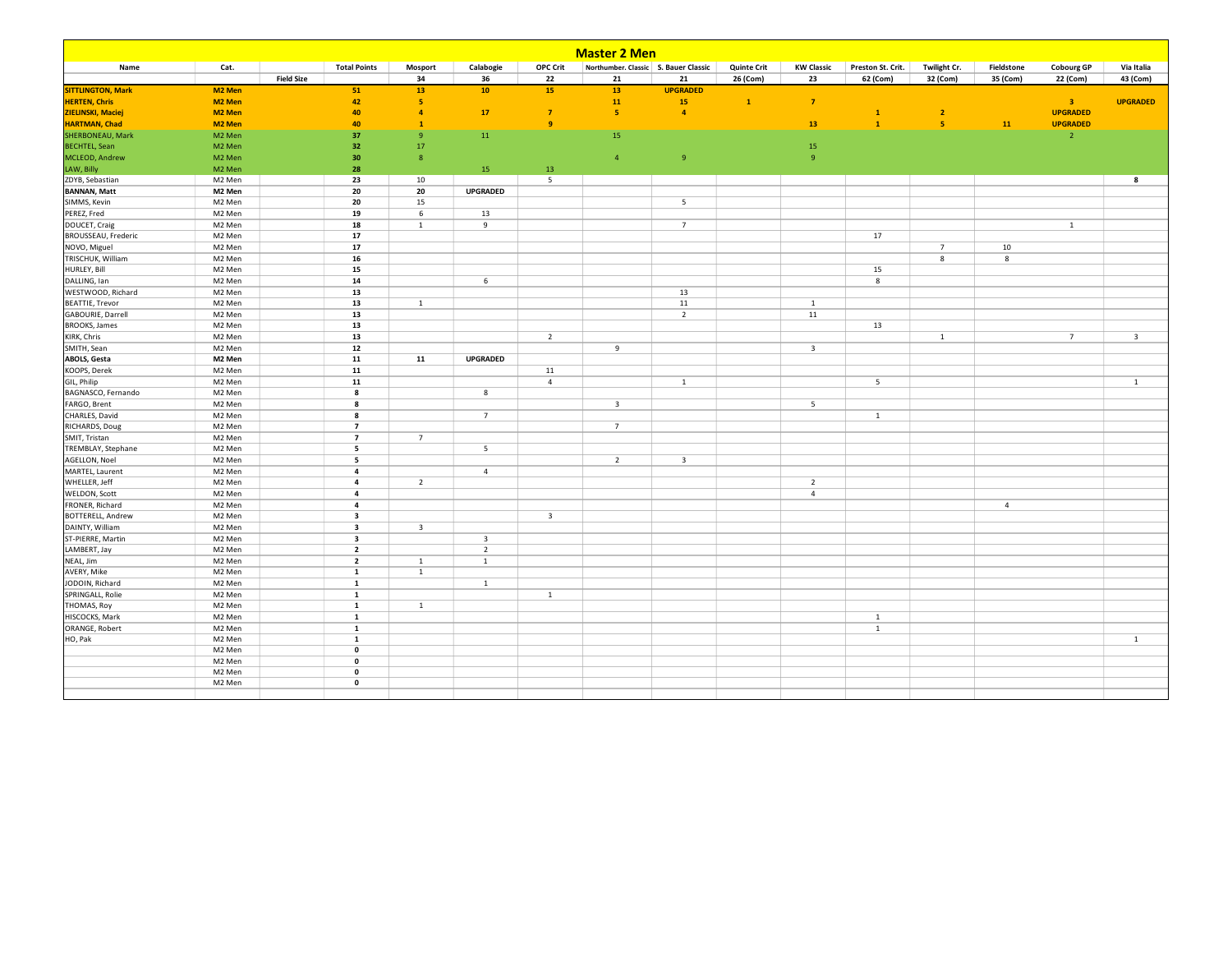| <b>Master 2 Men</b>      |                    |                   |                                  |                         |                         |                         |                                        |                         |                    |                   |                   |                |                |                   |                         |
|--------------------------|--------------------|-------------------|----------------------------------|-------------------------|-------------------------|-------------------------|----------------------------------------|-------------------------|--------------------|-------------------|-------------------|----------------|----------------|-------------------|-------------------------|
| Name                     | Cat.               |                   | <b>Total Points</b>              | Mosport                 | Calabogie               | OPC Crit                | Northumber. Classic   S. Bauer Classic |                         | <b>Quinte Crit</b> | <b>KW Classic</b> | Preston St. Crit. | Twilight Cr.   | Fieldstone     | <b>Cobourg GP</b> | Via Italia              |
|                          |                    | <b>Field Size</b> |                                  | 34                      | 36                      | 22                      | 21                                     | 21                      | 26 (Com)           | 23                | 62 (Com)          | 32 (Com)       | 35 (Com)       | 22 (Com)          | 43 (Com)                |
| <b>SITTLINGTON, Mark</b> | M2 Men             |                   | 51                               | 13                      | 10                      | 15                      | 13                                     | <b>UPGRADED</b>         |                    |                   |                   |                |                |                   |                         |
| <b>HERTEN, Chris</b>     | M <sub>2</sub> Men |                   | 42                               | $\overline{\mathbf{5}}$ |                         |                         | 11                                     | 15                      | $\mathbf{1}$       | $\overline{7}$    |                   |                |                | 3 <sup>°</sup>    | <b>UPGRADED</b>         |
| ZIELINSKI, Maciej        | M <sub>2</sub> Men |                   | 40                               | $\overline{4}$          | 17                      | $\overline{7}$          | $\overline{\mathbf{5}}$                | $\overline{a}$          |                    |                   | $\mathbf{1}$      | $\overline{2}$ |                | <b>UPGRADED</b>   |                         |
| <b>HARTMAN, Chad</b>     | M2 Men             |                   | 40                               | $\mathbf{1}$            |                         | 9                       |                                        |                         |                    | 13                | $\mathbf{1}$      | -5             | 11             | <b>UPGRADED</b>   |                         |
| SHERBONEAU, Mark         | M2 Men             |                   | 37                               | $\overline{9}$          | 11                      |                         | 15                                     |                         |                    |                   |                   |                |                | $\overline{2}$    |                         |
| <b>BECHTEL, Sean</b>     | M2 Men             |                   | 32                               | 17                      |                         |                         |                                        |                         |                    | 15                |                   |                |                |                   |                         |
| MCLEOD, Andrew           | M2 Men             |                   | 30                               | $\,$ 8                  |                         |                         | $\overline{4}$                         | $\overline{9}$          |                    | $\overline{9}$    |                   |                |                |                   |                         |
| LAW, Billy               | M2 Men             |                   | 28                               |                         | 15                      | 13                      |                                        |                         |                    |                   |                   |                |                |                   |                         |
| ZDYB, Sebastian          | M2 Men             |                   | 23                               | 10                      |                         | 5                       |                                        |                         |                    |                   |                   |                |                |                   | 8                       |
| <b>BANNAN, Matt</b>      | M2 Men             |                   | 20                               | 20                      | <b>UPGRADED</b>         |                         |                                        |                         |                    |                   |                   |                |                |                   |                         |
| SIMMS, Kevin             | M2 Men             |                   | 20                               | 15                      |                         |                         |                                        | 5                       |                    |                   |                   |                |                |                   |                         |
| PEREZ, Fred              | M2 Men             |                   | 19                               | 6                       | 13                      |                         |                                        |                         |                    |                   |                   |                |                |                   |                         |
| DOUCET, Craig            | M2 Men             |                   | 18                               | $\,$ 1                  | $\overline{9}$          |                         |                                        | $\overline{7}$          |                    |                   |                   |                |                | $\mathbf{1}$      |                         |
| BROUSSEAU, Frederic      | M2 Men             |                   | 17                               |                         |                         |                         |                                        |                         |                    |                   | 17                |                |                |                   |                         |
| NOVO, Miguel             | M2 Men             |                   | 17                               |                         |                         |                         |                                        |                         |                    |                   |                   | $\overline{7}$ | 10             |                   |                         |
| TRISCHUK, William        | M2 Men             |                   | 16                               |                         |                         |                         |                                        |                         |                    |                   |                   | 8              | 8              |                   |                         |
| HURLEY, Bill             | M2 Men             |                   | 15                               |                         |                         |                         |                                        |                         |                    |                   | 15                |                |                |                   |                         |
| DALLING, Ian             | M2 Men             |                   | 14                               |                         | 6                       |                         |                                        |                         |                    |                   | 8                 |                |                |                   |                         |
| WESTWOOD, Richard        | M2 Men             |                   | 13                               |                         |                         |                         |                                        | 13                      |                    |                   |                   |                |                |                   |                         |
| <b>BEATTIE, Trevor</b>   | M2 Men             |                   | 13                               | $\mathbf{1}$            |                         |                         |                                        | 11                      |                    | $\overline{1}$    |                   |                |                |                   |                         |
| GABOURIE, Darrell        | M2 Men             |                   | 13                               |                         |                         |                         |                                        | $\overline{2}$          |                    | 11                |                   |                |                |                   |                         |
| <b>BROOKS</b> , James    | M2 Men             |                   | 13                               |                         |                         |                         |                                        |                         |                    |                   | 13                |                |                |                   |                         |
| KIRK, Chris              | M2 Men             |                   | 13                               |                         |                         | $\overline{2}$          |                                        |                         |                    |                   |                   | $\mathbf{1}$   |                | 7                 | $\overline{\mathbf{3}}$ |
|                          |                    |                   | 12                               |                         |                         |                         | 9                                      |                         |                    | $\overline{3}$    |                   |                |                |                   |                         |
| SMITH, Sean              | M2 Men             |                   |                                  |                         |                         |                         |                                        |                         |                    |                   |                   |                |                |                   |                         |
| <b>ABOLS, Gesta</b>      | M2 Men             |                   | 11                               | 11                      | <b>UPGRADED</b>         |                         |                                        |                         |                    |                   |                   |                |                |                   |                         |
| KOOPS, Derek             | M2 Men             |                   | 11                               |                         |                         | 11                      |                                        |                         |                    |                   |                   |                |                |                   |                         |
| GIL, Philip              | M2 Men             |                   | 11                               |                         |                         | $\overline{4}$          |                                        | $\mathbf{1}$            |                    |                   | 5                 |                |                |                   | $\mathbf{1}$            |
| BAGNASCO, Fernando       | M2 Men             |                   | 8                                |                         | 8                       |                         |                                        |                         |                    |                   |                   |                |                |                   |                         |
| FARGO, Brent             | M2 Men             |                   | 8                                |                         |                         |                         | $\overline{\mathbf{3}}$                |                         |                    | $5\phantom{.0}$   |                   |                |                |                   |                         |
| CHARLES, David           | M2 Men             |                   | 8                                |                         | $7\overline{ }$         |                         |                                        |                         |                    |                   | $\,$ 1 $\,$       |                |                |                   |                         |
| RICHARDS, Doug           | M2 Men             |                   | $\overline{7}$<br>$\overline{z}$ |                         |                         |                         | $7\overline{ }$                        |                         |                    |                   |                   |                |                |                   |                         |
| SMIT, Tristan            | M2 Men             |                   |                                  | $\overline{7}$          |                         |                         |                                        |                         |                    |                   |                   |                |                |                   |                         |
| TREMBLAY, Stephane       | M2 Men             |                   | 5                                |                         | 5                       |                         |                                        |                         |                    |                   |                   |                |                |                   |                         |
| AGELLON, Noel            | M2 Men             |                   | 5                                |                         |                         |                         | $\overline{2}$                         | $\overline{\mathbf{3}}$ |                    |                   |                   |                |                |                   |                         |
| MARTEL, Laurent          | M2 Men             |                   | $\overline{4}$                   |                         | $\overline{4}$          |                         |                                        |                         |                    |                   |                   |                |                |                   |                         |
| WHELLER, Jeff            | M2 Men             |                   | $\overline{4}$                   | $\overline{2}$          |                         |                         |                                        |                         |                    | $\overline{2}$    |                   |                |                |                   |                         |
| <b>WELDON, Scott</b>     | M2 Men             |                   | $\overline{\mathbf{4}}$          |                         |                         |                         |                                        |                         |                    | $\overline{4}$    |                   |                |                |                   |                         |
| FRONER, Richard          | M2 Men             |                   | $\overline{a}$                   |                         |                         |                         |                                        |                         |                    |                   |                   |                | $\overline{4}$ |                   |                         |
| BOTTERELL, Andrew        | M2 Men             |                   | $\overline{\mathbf{3}}$          |                         |                         | $\overline{\mathbf{3}}$ |                                        |                         |                    |                   |                   |                |                |                   |                         |
| DAINTY, William          | M2 Men             |                   | 3                                | $\overline{\mathbf{3}}$ |                         |                         |                                        |                         |                    |                   |                   |                |                |                   |                         |
| ST-PIERRE, Martin        | M2 Men             |                   | $\overline{\mathbf{3}}$          |                         | $\overline{\mathbf{3}}$ |                         |                                        |                         |                    |                   |                   |                |                |                   |                         |
| LAMBERT, Jay             | M2 Men             |                   | $\overline{2}$                   |                         | $\overline{2}$          |                         |                                        |                         |                    |                   |                   |                |                |                   |                         |
| NEAL, Jim                | M2 Men             |                   | $\overline{2}$                   | <sup>1</sup>            | $\mathbf{1}$            |                         |                                        |                         |                    |                   |                   |                |                |                   |                         |
| AVERY, Mike              | M2 Men             |                   | $\mathbf{1}$                     | $\overline{1}$          |                         |                         |                                        |                         |                    |                   |                   |                |                |                   |                         |
| JODOIN, Richard          | M2 Men             |                   | $\mathbf{1}$                     |                         | $\overline{1}$          |                         |                                        |                         |                    |                   |                   |                |                |                   |                         |
| SPRINGALL, Rolie         | M2 Men             |                   | 1                                |                         |                         | $\mathbf{1}$            |                                        |                         |                    |                   |                   |                |                |                   |                         |
| THOMAS, Roy              | M2 Men             |                   | 1                                | $\mathbf{1}$            |                         |                         |                                        |                         |                    |                   |                   |                |                |                   |                         |
| HISCOCKS, Mark           | M2 Men             |                   | $\mathbf{1}$                     |                         |                         |                         |                                        |                         |                    |                   | $\mathbf{1}$      |                |                |                   |                         |
| ORANGE, Robert           | M2 Men             |                   | $\mathbf{1}$                     |                         |                         |                         |                                        |                         |                    |                   | $\mathbf{1}$      |                |                |                   |                         |
| HO, Pak                  | M2 Men             |                   | $\mathbf{1}$                     |                         |                         |                         |                                        |                         |                    |                   |                   |                |                |                   | $\overline{1}$          |
|                          | M2 Men             |                   | $\mathbf 0$                      |                         |                         |                         |                                        |                         |                    |                   |                   |                |                |                   |                         |
|                          | M2 Men             |                   | $\mathbf 0$                      |                         |                         |                         |                                        |                         |                    |                   |                   |                |                |                   |                         |
|                          | M2 Men             |                   | $\mathbf 0$                      |                         |                         |                         |                                        |                         |                    |                   |                   |                |                |                   |                         |
|                          | M2 Men             |                   | $\mathbf 0$                      |                         |                         |                         |                                        |                         |                    |                   |                   |                |                |                   |                         |
|                          |                    |                   |                                  |                         |                         |                         |                                        |                         |                    |                   |                   |                |                |                   |                         |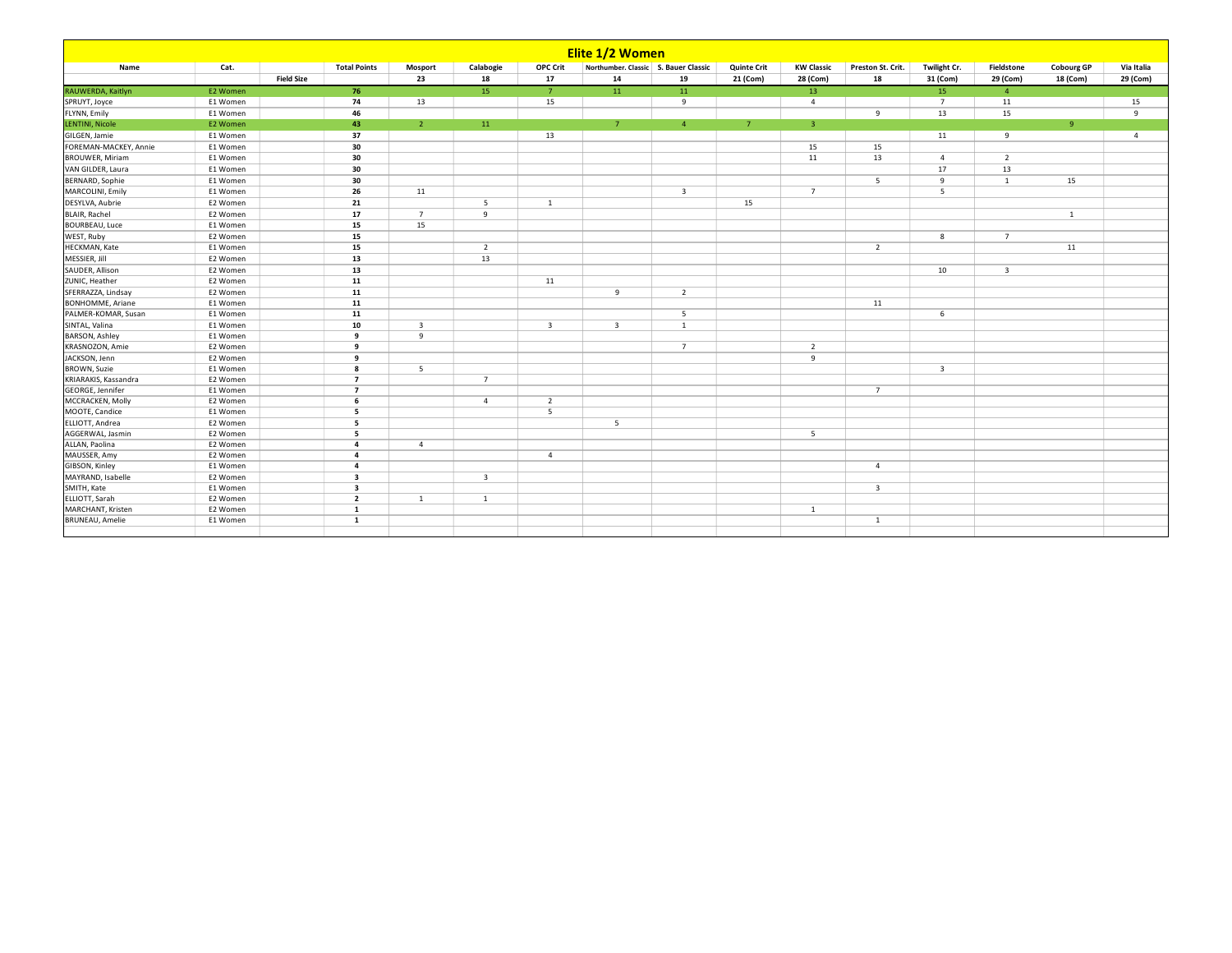| Elite 1/2 Women          |          |                   |                         |                         |                         |                         |                                        |                         |                    |                         |                         |                         |                         |                   |                |
|--------------------------|----------|-------------------|-------------------------|-------------------------|-------------------------|-------------------------|----------------------------------------|-------------------------|--------------------|-------------------------|-------------------------|-------------------------|-------------------------|-------------------|----------------|
| Name                     | Cat.     |                   | <b>Total Points</b>     | Mosport                 | Calabogie               | OPC Crit                | Northumber. Classic   S. Bauer Classic |                         | <b>Quinte Crit</b> | <b>KW Classic</b>       | Preston St. Crit.       | Twilight Cr.            | Fieldstone              | <b>Cobourg GP</b> | Via Italia     |
|                          |          | <b>Field Size</b> |                         | 23                      | 18                      | 17                      | 14                                     | 19                      | 21 (Com)           | 28 (Com)                | 18                      | 31 (Com)                | 29 (Com)                | 18 (Com)          | 29 (Com)       |
| RAUWERDA, Kaitlyn        | E2 Women |                   | 76                      |                         | 15                      | $\overline{7}$          | $11$                                   | 11                      |                    | 13                      |                         | 15                      | $\overline{4}$          |                   |                |
| SPRUYT, Joyce            | E1 Women |                   | 74                      | 13                      |                         | 15                      |                                        | 9                       |                    | $\overline{4}$          |                         | $\overline{7}$          | 11                      |                   | 15             |
| FLYNN, Emily             | E1 Women |                   | 46                      |                         |                         |                         |                                        |                         |                    |                         | 9                       | 13                      | 15                      |                   | 9              |
| <b>LENTINI, Nicole</b>   | E2 Women |                   | 43                      | $\overline{2}$          | 11                      |                         | $\overline{7}$                         | 4 <sup>1</sup>          | 7 <sup>7</sup>     | $\overline{\mathbf{3}}$ |                         |                         |                         | 9                 |                |
| GILGEN, Jamie            | E1 Women |                   | 37                      |                         |                         | 13                      |                                        |                         |                    |                         |                         | 11                      | 9                       |                   | $\overline{4}$ |
| FOREMAN-MACKEY, Annie    | E1 Women |                   | 30                      |                         |                         |                         |                                        |                         |                    | 15                      | 15                      |                         |                         |                   |                |
| <b>BROUWER, Miriam</b>   | E1 Women |                   | 30                      |                         |                         |                         |                                        |                         |                    | 11                      | 13                      | $\overline{4}$          | $\overline{2}$          |                   |                |
| VAN GILDER, Laura        | E1 Women |                   | 30                      |                         |                         |                         |                                        |                         |                    |                         |                         | 17                      | 13                      |                   |                |
| BERNARD, Sophie          | E1 Women |                   | 30                      |                         |                         |                         |                                        |                         |                    |                         | 5                       | 9                       | $\overline{1}$          | 15                |                |
| MARCOLINI, Emily         | E1 Women |                   | 26                      | 11                      |                         |                         |                                        | $\overline{\mathbf{3}}$ |                    | $\overline{7}$          |                         | 5                       |                         |                   |                |
| DESYLVA, Aubrie          | E2 Women |                   | 21                      |                         | 5                       | $\mathbf{1}$            |                                        |                         | 15                 |                         |                         |                         |                         |                   |                |
| <b>BLAIR, Rachel</b>     | E2 Women |                   | 17                      | $\overline{7}$          | 9                       |                         |                                        |                         |                    |                         |                         |                         |                         | $\mathbf{1}$      |                |
| BOURBEAU, Luce           | E1 Women |                   | 15                      | 15                      |                         |                         |                                        |                         |                    |                         |                         |                         |                         |                   |                |
| WEST, Ruby               | E2 Women |                   | 15                      |                         |                         |                         |                                        |                         |                    |                         |                         | 8                       | $\overline{7}$          |                   |                |
| HECKMAN, Kate            | E1 Women |                   | 15                      |                         | $\overline{2}$          |                         |                                        |                         |                    |                         | $\overline{2}$          |                         |                         | 11                |                |
| MESSIER, Jill            | E2 Women |                   | 13                      |                         | 13                      |                         |                                        |                         |                    |                         |                         |                         |                         |                   |                |
| SAUDER, Allison          | E2 Women |                   | 13                      |                         |                         |                         |                                        |                         |                    |                         |                         | 10                      | $\overline{\mathbf{3}}$ |                   |                |
| ZUNIC, Heather           | E2 Women |                   | 11                      |                         |                         | 11                      |                                        |                         |                    |                         |                         |                         |                         |                   |                |
| SFERRAZZA, Lindsay       | E2 Women |                   | 11                      |                         |                         |                         | 9                                      | $\overline{2}$          |                    |                         |                         |                         |                         |                   |                |
| <b>BONHOMME</b> , Ariane | E1 Women |                   | 11                      |                         |                         |                         |                                        |                         |                    |                         | 11                      |                         |                         |                   |                |
| PALMER-KOMAR, Susan      | E1 Women |                   | 11                      |                         |                         |                         |                                        | 5                       |                    |                         |                         | 6                       |                         |                   |                |
| SINTAL, Valina           | E1 Women |                   | 10                      | $\overline{\mathbf{3}}$ |                         | $\overline{\mathbf{3}}$ | $\overline{\mathbf{3}}$                | <sup>1</sup>            |                    |                         |                         |                         |                         |                   |                |
| <b>BARSON, Ashley</b>    | E1 Women |                   | $\overline{9}$          | 9                       |                         |                         |                                        |                         |                    |                         |                         |                         |                         |                   |                |
| KRASNOZON, Amie          | E2 Women |                   | 9                       |                         |                         |                         |                                        | $\overline{7}$          |                    | $\overline{2}$          |                         |                         |                         |                   |                |
| JACKSON, Jenn            | E2 Women |                   | 9                       |                         |                         |                         |                                        |                         |                    | 9                       |                         |                         |                         |                   |                |
| <b>BROWN, Suzie</b>      | E1 Women |                   | 8                       | 5                       |                         |                         |                                        |                         |                    |                         |                         | $\overline{\mathbf{3}}$ |                         |                   |                |
| KRIARAKIS, Kassandra     | E2 Women |                   | $\overline{z}$          |                         | $\overline{7}$          |                         |                                        |                         |                    |                         |                         |                         |                         |                   |                |
| GEORGE, Jennifer         | E1 Women |                   | $\overline{z}$          |                         |                         |                         |                                        |                         |                    |                         | $\overline{7}$          |                         |                         |                   |                |
| MCCRACKEN, Molly         | E2 Women |                   | 6                       |                         | $\overline{4}$          | $\overline{2}$          |                                        |                         |                    |                         |                         |                         |                         |                   |                |
| MOOTE, Candice           | E1 Women |                   | 5                       |                         |                         | -5                      |                                        |                         |                    |                         |                         |                         |                         |                   |                |
| ELLIOTT, Andrea          | E2 Women |                   | 5                       |                         |                         |                         | 5                                      |                         |                    |                         |                         |                         |                         |                   |                |
| AGGERWAL, Jasmin         | E2 Women |                   | 5                       |                         |                         |                         |                                        |                         |                    | 5                       |                         |                         |                         |                   |                |
| ALLAN, Paolina           | E2 Women |                   | $\overline{a}$          | $\overline{4}$          |                         |                         |                                        |                         |                    |                         |                         |                         |                         |                   |                |
| MAUSSER, Amy             | E2 Women |                   | $\overline{a}$          |                         |                         | $\overline{4}$          |                                        |                         |                    |                         |                         |                         |                         |                   |                |
| GIBSON, Kinley           | E1 Women |                   | $\overline{a}$          |                         |                         |                         |                                        |                         |                    |                         | $\overline{4}$          |                         |                         |                   |                |
| MAYRAND, Isabelle        | E2 Women |                   | $\overline{\mathbf{3}}$ |                         | $\overline{\mathbf{3}}$ |                         |                                        |                         |                    |                         |                         |                         |                         |                   |                |
| SMITH, Kate              | E1 Women |                   | 3                       |                         |                         |                         |                                        |                         |                    |                         | $\overline{\mathbf{3}}$ |                         |                         |                   |                |
| ELLIOTT, Sarah           | E2 Women |                   | $\overline{2}$          | $\mathbf{1}$            | $\mathbf{1}$            |                         |                                        |                         |                    |                         |                         |                         |                         |                   |                |
| MARCHANT, Kristen        | E2 Women |                   | $\mathbf{1}$            |                         |                         |                         |                                        |                         |                    | 1                       |                         |                         |                         |                   |                |
| <b>BRUNEAU, Amelie</b>   | E1 Women |                   | $\mathbf{1}$            |                         |                         |                         |                                        |                         |                    |                         | $\mathbf{1}$            |                         |                         |                   |                |
|                          |          |                   |                         |                         |                         |                         |                                        |                         |                    |                         |                         |                         |                         |                   |                |